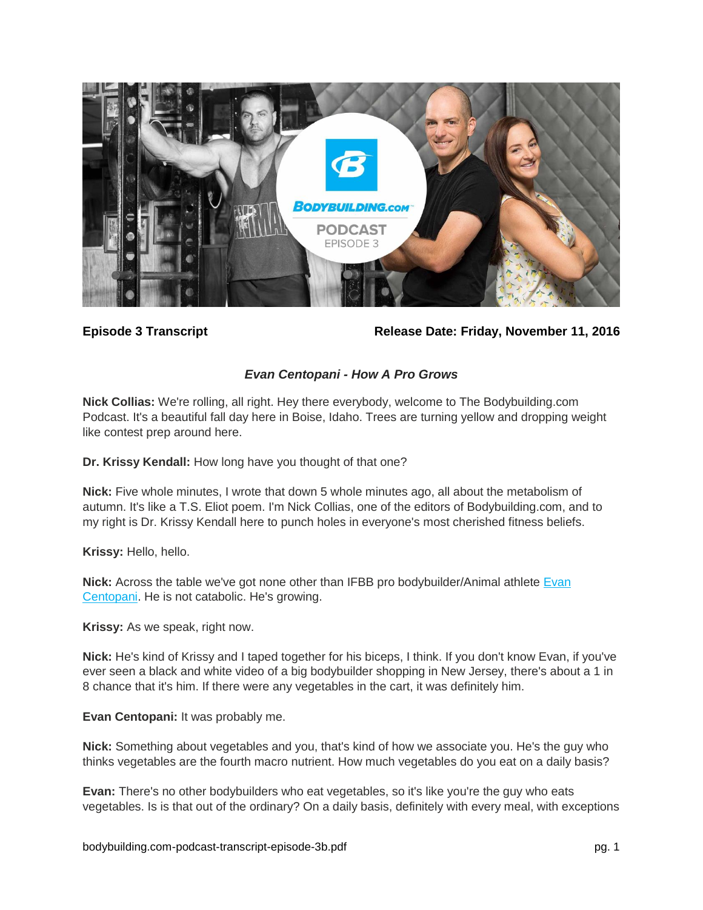

**Episode 3 Transcript Release Date: Friday, November 11, 2016**

## *Evan Centopani - How A Pro Grows*

**Nick Collias:** We're rolling, all right. Hey there everybody, welcome to The Bodybuilding.com Podcast. It's a beautiful fall day here in Boise, Idaho. Trees are turning yellow and dropping weight like contest prep around here.

**Dr. Krissy Kendall:** How long have you thought of that one?

**Nick:** Five whole minutes, I wrote that down 5 whole minutes ago, all about the metabolism of autumn. It's like a T.S. Eliot poem. I'm Nick Collias, one of the editors of Bodybuilding.com, and to my right is Dr. Krissy Kendall here to punch holes in everyone's most cherished fitness beliefs.

**Krissy:** Hello, hello.

Nick: Across the table we've got none other than IFBB pro bodybuilder/Animal athlete Evan [Centopani.](http://www.bodybuilding.com/content/how-an-ifbb-pro-really-eats.html) He is not catabolic. He's growing.

**Krissy:** As we speak, right now.

**Nick:** He's kind of Krissy and I taped together for his biceps, I think. If you don't know Evan, if you've ever seen a black and white video of a big bodybuilder shopping in New Jersey, there's about a 1 in 8 chance that it's him. If there were any vegetables in the cart, it was definitely him.

**Evan Centopani:** It was probably me.

**Nick:** Something about vegetables and you, that's kind of how we associate you. He's the guy who thinks vegetables are the fourth macro nutrient. How much vegetables do you eat on a daily basis?

**Evan:** There's no other bodybuilders who eat vegetables, so it's like you're the guy who eats vegetables. Is is that out of the ordinary? On a daily basis, definitely with every meal, with exceptions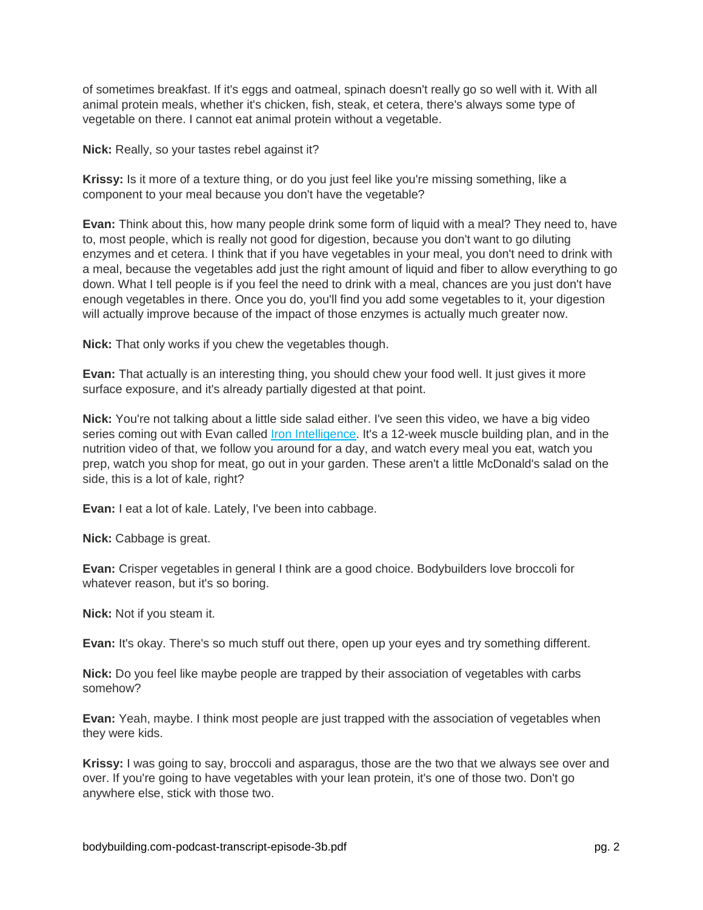of sometimes breakfast. If it's eggs and oatmeal, spinach doesn't really go so well with it. With all animal protein meals, whether it's chicken, fish, steak, et cetera, there's always some type of vegetable on there. I cannot eat animal protein without a vegetable.

**Nick:** Really, so your tastes rebel against it?

**Krissy:** Is it more of a texture thing, or do you just feel like you're missing something, like a component to your meal because you don't have the vegetable?

**Evan:** Think about this, how many people drink some form of liquid with a meal? They need to, have to, most people, which is really not good for digestion, because you don't want to go diluting enzymes and et cetera. I think that if you have vegetables in your meal, you don't need to drink with a meal, because the vegetables add just the right amount of liquid and fiber to allow everything to go down. What I tell people is if you feel the need to drink with a meal, chances are you just don't have enough vegetables in there. Once you do, you'll find you add some vegetables to it, your digestion will actually improve because of the impact of those enzymes is actually much greater now.

**Nick:** That only works if you chew the vegetables though.

**Evan:** That actually is an interesting thing, you should chew your food well. It just gives it more surface exposure, and it's already partially digested at that point.

**Nick:** You're not talking about a little side salad either. I've seen this video, we have a big video series coming out with Evan called [Iron Intelligence.](http://www.bodybuilding.com/fun/iron-intelligence-12-week-muscle-building-plan-main.html) It's a 12-week muscle building plan, and in the nutrition video of that, we follow you around for a day, and watch every meal you eat, watch you prep, watch you shop for meat, go out in your garden. These aren't a little McDonald's salad on the side, this is a lot of kale, right?

**Evan:** I eat a lot of kale. Lately, I've been into cabbage.

**Nick:** Cabbage is great.

**Evan:** Crisper vegetables in general I think are a good choice. Bodybuilders love broccoli for whatever reason, but it's so boring.

**Nick:** Not if you steam it.

**Evan:** It's okay. There's so much stuff out there, open up your eyes and try something different.

**Nick:** Do you feel like maybe people are trapped by their association of vegetables with carbs somehow?

**Evan:** Yeah, maybe. I think most people are just trapped with the association of vegetables when they were kids.

**Krissy:** I was going to say, broccoli and asparagus, those are the two that we always see over and over. If you're going to have vegetables with your lean protein, it's one of those two. Don't go anywhere else, stick with those two.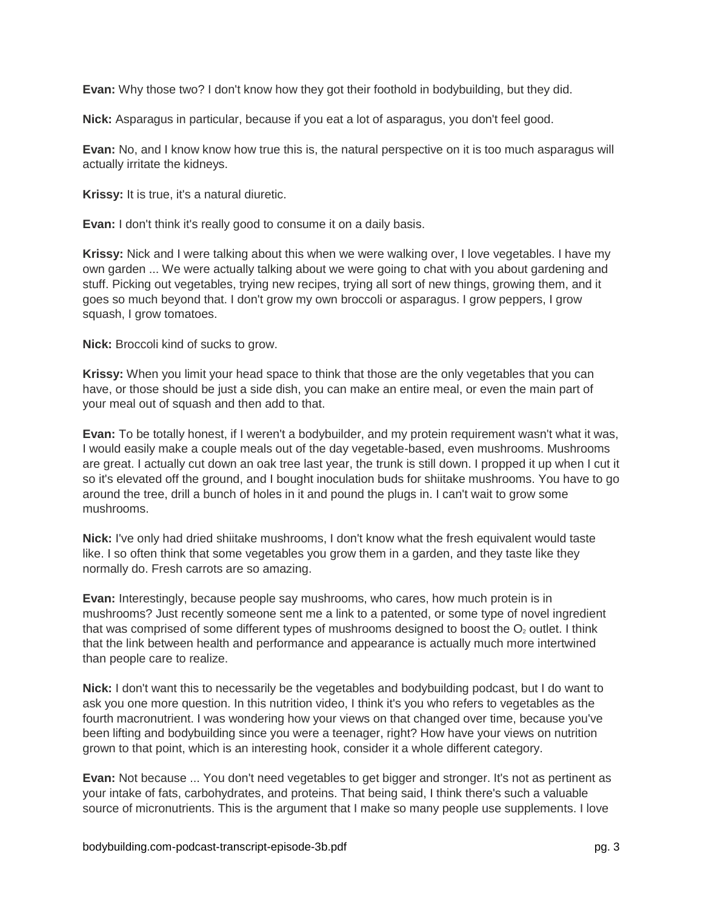**Evan:** Why those two? I don't know how they got their foothold in bodybuilding, but they did.

**Nick:** Asparagus in particular, because if you eat a lot of asparagus, you don't feel good.

**Evan:** No, and I know know how true this is, the natural perspective on it is too much asparagus will actually irritate the kidneys.

**Krissy:** It is true, it's a natural diuretic.

**Evan:** I don't think it's really good to consume it on a daily basis.

**Krissy:** Nick and I were talking about this when we were walking over, I love vegetables. I have my own garden ... We were actually talking about we were going to chat with you about gardening and stuff. Picking out vegetables, trying new recipes, trying all sort of new things, growing them, and it goes so much beyond that. I don't grow my own broccoli or asparagus. I grow peppers, I grow squash, I grow tomatoes.

**Nick:** Broccoli kind of sucks to grow.

**Krissy:** When you limit your head space to think that those are the only vegetables that you can have, or those should be just a side dish, you can make an entire meal, or even the main part of your meal out of squash and then add to that.

**Evan:** To be totally honest, if I weren't a bodybuilder, and my protein requirement wasn't what it was, I would easily make a couple meals out of the day vegetable-based, even mushrooms. Mushrooms are great. I actually cut down an oak tree last year, the trunk is still down. I propped it up when I cut it so it's elevated off the ground, and I bought inoculation buds for shiitake mushrooms. You have to go around the tree, drill a bunch of holes in it and pound the plugs in. I can't wait to grow some mushrooms.

**Nick:** I've only had dried shiitake mushrooms, I don't know what the fresh equivalent would taste like. I so often think that some vegetables you grow them in a garden, and they taste like they normally do. Fresh carrots are so amazing.

**Evan:** Interestingly, because people say mushrooms, who cares, how much protein is in mushrooms? Just recently someone sent me a link to a patented, or some type of novel ingredient that was comprised of some different types of mushrooms designed to boost the  $O<sub>2</sub>$  outlet. I think that the link between health and performance and appearance is actually much more intertwined than people care to realize.

**Nick:** I don't want this to necessarily be the vegetables and bodybuilding podcast, but I do want to ask you one more question. In this nutrition video, I think it's you who refers to vegetables as the fourth macronutrient. I was wondering how your views on that changed over time, because you've been lifting and bodybuilding since you were a teenager, right? How have your views on nutrition grown to that point, which is an interesting hook, consider it a whole different category.

**Evan:** Not because ... You don't need vegetables to get bigger and stronger. It's not as pertinent as your intake of fats, carbohydrates, and proteins. That being said, I think there's such a valuable source of micronutrients. This is the argument that I make so many people use supplements. I love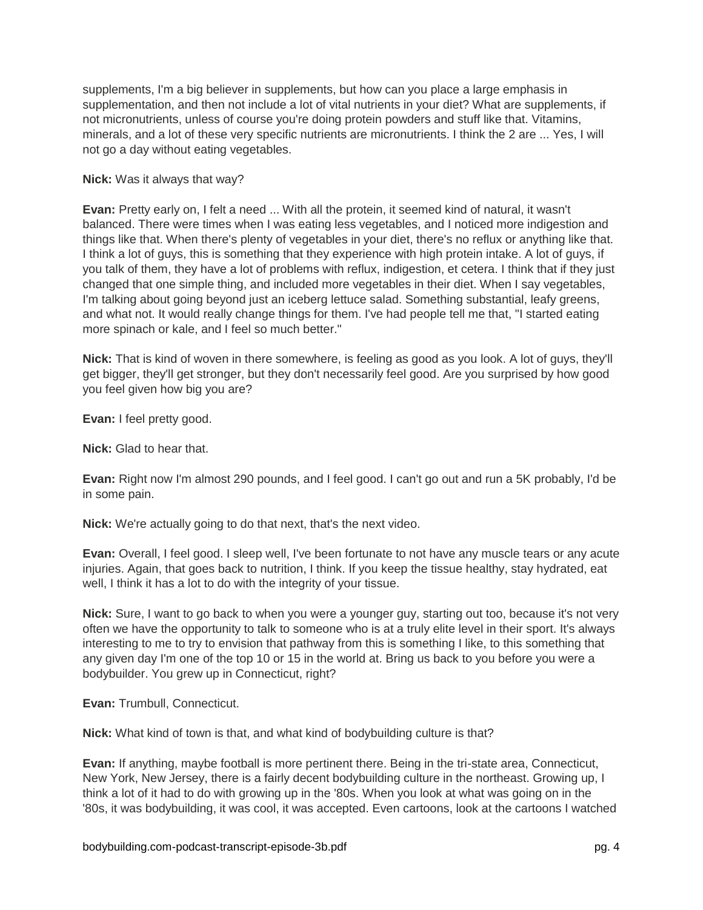supplements, I'm a big believer in supplements, but how can you place a large emphasis in supplementation, and then not include a lot of vital nutrients in your diet? What are supplements, if not micronutrients, unless of course you're doing protein powders and stuff like that. Vitamins, minerals, and a lot of these very specific nutrients are micronutrients. I think the 2 are ... Yes, I will not go a day without eating vegetables.

### **Nick:** Was it always that way?

**Evan:** Pretty early on, I felt a need ... With all the protein, it seemed kind of natural, it wasn't balanced. There were times when I was eating less vegetables, and I noticed more indigestion and things like that. When there's plenty of vegetables in your diet, there's no reflux or anything like that. I think a lot of guys, this is something that they experience with high protein intake. A lot of guys, if you talk of them, they have a lot of problems with reflux, indigestion, et cetera. I think that if they just changed that one simple thing, and included more vegetables in their diet. When I say vegetables, I'm talking about going beyond just an iceberg lettuce salad. Something substantial, leafy greens, and what not. It would really change things for them. I've had people tell me that, "I started eating more spinach or kale, and I feel so much better."

**Nick:** That is kind of woven in there somewhere, is feeling as good as you look. A lot of guys, they'll get bigger, they'll get stronger, but they don't necessarily feel good. Are you surprised by how good you feel given how big you are?

**Evan:** I feel pretty good.

**Nick:** Glad to hear that.

**Evan:** Right now I'm almost 290 pounds, and I feel good. I can't go out and run a 5K probably, I'd be in some pain.

**Nick:** We're actually going to do that next, that's the next video.

**Evan:** Overall, I feel good. I sleep well, I've been fortunate to not have any muscle tears or any acute injuries. Again, that goes back to nutrition, I think. If you keep the tissue healthy, stay hydrated, eat well, I think it has a lot to do with the integrity of your tissue.

**Nick:** Sure, I want to go back to when you were a younger guy, starting out too, because it's not very often we have the opportunity to talk to someone who is at a truly elite level in their sport. It's always interesting to me to try to envision that pathway from this is something I like, to this something that any given day I'm one of the top 10 or 15 in the world at. Bring us back to you before you were a bodybuilder. You grew up in Connecticut, right?

**Evan:** Trumbull, Connecticut.

**Nick:** What kind of town is that, and what kind of bodybuilding culture is that?

**Evan:** If anything, maybe football is more pertinent there. Being in the tri-state area, Connecticut, New York, New Jersey, there is a fairly decent bodybuilding culture in the northeast. Growing up, I think a lot of it had to do with growing up in the '80s. When you look at what was going on in the '80s, it was bodybuilding, it was cool, it was accepted. Even cartoons, look at the cartoons I watched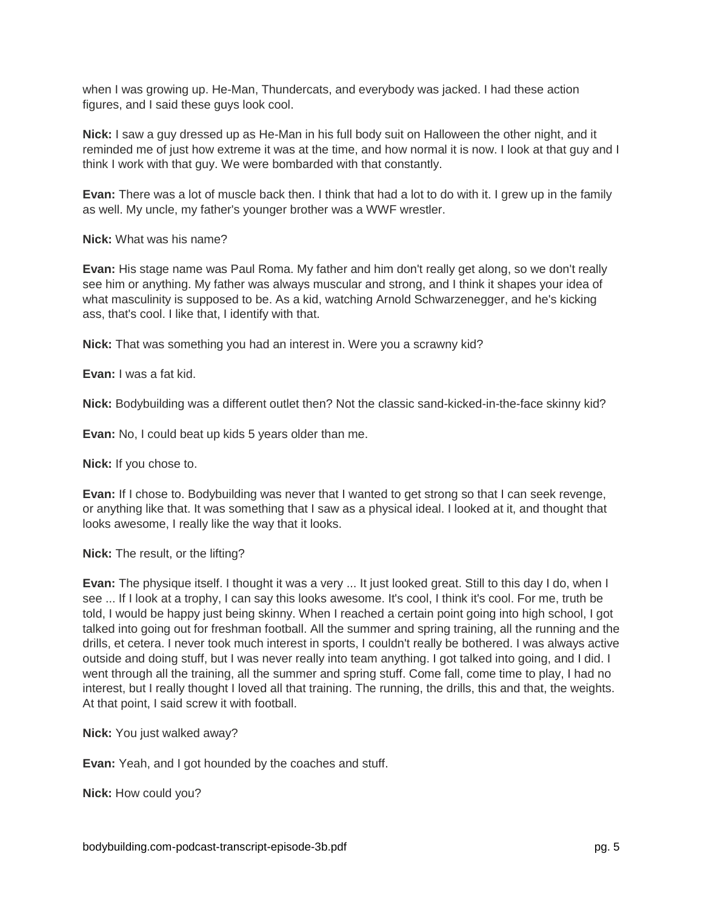when I was growing up. He-Man, Thundercats, and everybody was jacked. I had these action figures, and I said these guys look cool.

**Nick:** I saw a guy dressed up as He-Man in his full body suit on Halloween the other night, and it reminded me of just how extreme it was at the time, and how normal it is now. I look at that guy and I think I work with that guy. We were bombarded with that constantly.

**Evan:** There was a lot of muscle back then. I think that had a lot to do with it. I grew up in the family as well. My uncle, my father's younger brother was a WWF wrestler.

**Nick:** What was his name?

**Evan:** His stage name was Paul Roma. My father and him don't really get along, so we don't really see him or anything. My father was always muscular and strong, and I think it shapes your idea of what masculinity is supposed to be. As a kid, watching Arnold Schwarzenegger, and he's kicking ass, that's cool. I like that, I identify with that.

**Nick:** That was something you had an interest in. Were you a scrawny kid?

**Evan:** I was a fat kid.

**Nick:** Bodybuilding was a different outlet then? Not the classic sand-kicked-in-the-face skinny kid?

**Evan:** No, I could beat up kids 5 years older than me.

**Nick:** If you chose to.

**Evan:** If I chose to. Bodybuilding was never that I wanted to get strong so that I can seek revenge, or anything like that. It was something that I saw as a physical ideal. I looked at it, and thought that looks awesome, I really like the way that it looks.

**Nick:** The result, or the lifting?

**Evan:** The physique itself. I thought it was a very ... It just looked great. Still to this day I do, when I see ... If I look at a trophy, I can say this looks awesome. It's cool, I think it's cool. For me, truth be told, I would be happy just being skinny. When I reached a certain point going into high school, I got talked into going out for freshman football. All the summer and spring training, all the running and the drills, et cetera. I never took much interest in sports, I couldn't really be bothered. I was always active outside and doing stuff, but I was never really into team anything. I got talked into going, and I did. I went through all the training, all the summer and spring stuff. Come fall, come time to play, I had no interest, but I really thought I loved all that training. The running, the drills, this and that, the weights. At that point, I said screw it with football.

**Nick:** You just walked away?

**Evan:** Yeah, and I got hounded by the coaches and stuff.

**Nick:** How could you?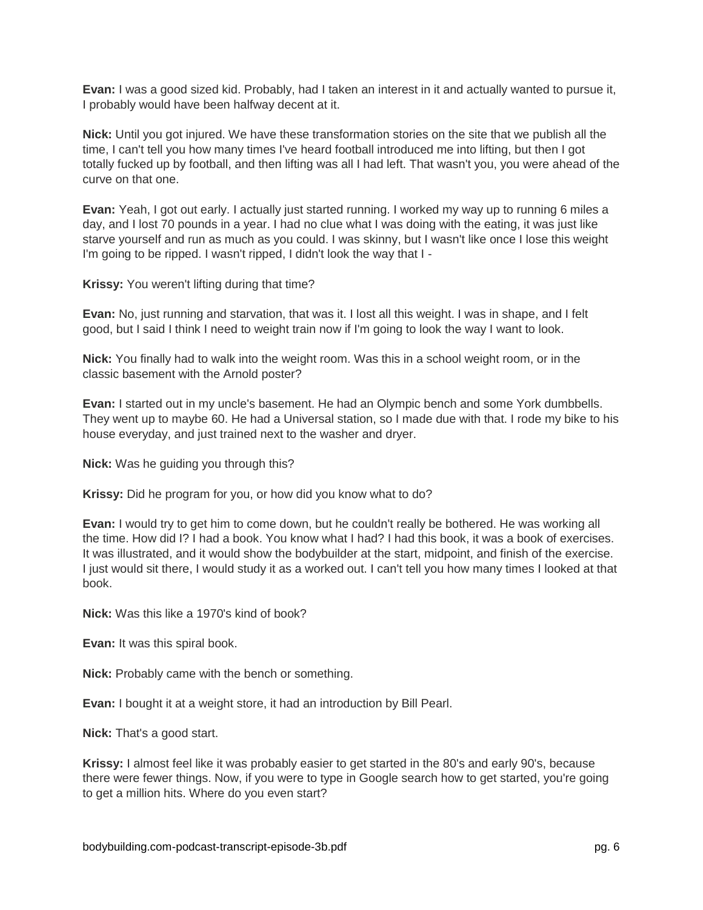**Evan:** I was a good sized kid. Probably, had I taken an interest in it and actually wanted to pursue it, I probably would have been halfway decent at it.

**Nick:** Until you got injured. We have these transformation stories on the site that we publish all the time, I can't tell you how many times I've heard football introduced me into lifting, but then I got totally fucked up by football, and then lifting was all I had left. That wasn't you, you were ahead of the curve on that one.

**Evan:** Yeah, I got out early. I actually just started running. I worked my way up to running 6 miles a day, and I lost 70 pounds in a year. I had no clue what I was doing with the eating, it was just like starve yourself and run as much as you could. I was skinny, but I wasn't like once I lose this weight I'm going to be ripped. I wasn't ripped, I didn't look the way that I -

**Krissy:** You weren't lifting during that time?

**Evan:** No, just running and starvation, that was it. I lost all this weight. I was in shape, and I felt good, but I said I think I need to weight train now if I'm going to look the way I want to look.

**Nick:** You finally had to walk into the weight room. Was this in a school weight room, or in the classic basement with the Arnold poster?

**Evan:** I started out in my uncle's basement. He had an Olympic bench and some York dumbbells. They went up to maybe 60. He had a Universal station, so I made due with that. I rode my bike to his house everyday, and just trained next to the washer and dryer.

**Nick:** Was he guiding you through this?

**Krissy:** Did he program for you, or how did you know what to do?

**Evan:** I would try to get him to come down, but he couldn't really be bothered. He was working all the time. How did I? I had a book. You know what I had? I had this book, it was a book of exercises. It was illustrated, and it would show the bodybuilder at the start, midpoint, and finish of the exercise. I just would sit there, I would study it as a worked out. I can't tell you how many times I looked at that book.

**Nick:** Was this like a 1970's kind of book?

**Evan:** It was this spiral book.

**Nick:** Probably came with the bench or something.

**Evan:** I bought it at a weight store, it had an introduction by Bill Pearl.

**Nick:** That's a good start.

**Krissy:** I almost feel like it was probably easier to get started in the 80's and early 90's, because there were fewer things. Now, if you were to type in Google search how to get started, you're going to get a million hits. Where do you even start?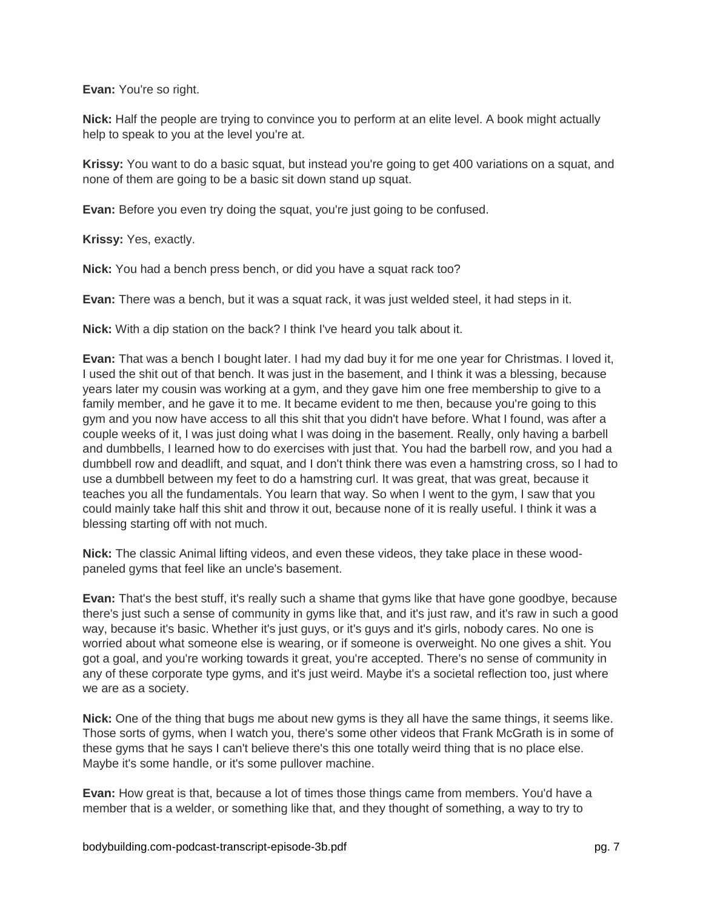**Evan:** You're so right.

**Nick:** Half the people are trying to convince you to perform at an elite level. A book might actually help to speak to you at the level you're at.

**Krissy:** You want to do a basic squat, but instead you're going to get 400 variations on a squat, and none of them are going to be a basic sit down stand up squat.

**Evan:** Before you even try doing the squat, you're just going to be confused.

**Krissy:** Yes, exactly.

**Nick:** You had a bench press bench, or did you have a squat rack too?

**Evan:** There was a bench, but it was a squat rack, it was just welded steel, it had steps in it.

**Nick:** With a dip station on the back? I think I've heard you talk about it.

**Evan:** That was a bench I bought later. I had my dad buy it for me one year for Christmas. I loved it, I used the shit out of that bench. It was just in the basement, and I think it was a blessing, because years later my cousin was working at a gym, and they gave him one free membership to give to a family member, and he gave it to me. It became evident to me then, because you're going to this gym and you now have access to all this shit that you didn't have before. What I found, was after a couple weeks of it, I was just doing what I was doing in the basement. Really, only having a barbell and dumbbells, I learned how to do exercises with just that. You had the barbell row, and you had a dumbbell row and deadlift, and squat, and I don't think there was even a hamstring cross, so I had to use a dumbbell between my feet to do a hamstring curl. It was great, that was great, because it teaches you all the fundamentals. You learn that way. So when I went to the gym, I saw that you could mainly take half this shit and throw it out, because none of it is really useful. I think it was a blessing starting off with not much.

**Nick:** The classic Animal lifting videos, and even these videos, they take place in these woodpaneled gyms that feel like an uncle's basement.

**Evan:** That's the best stuff, it's really such a shame that gyms like that have gone goodbye, because there's just such a sense of community in gyms like that, and it's just raw, and it's raw in such a good way, because it's basic. Whether it's just guys, or it's guys and it's girls, nobody cares. No one is worried about what someone else is wearing, or if someone is overweight. No one gives a shit. You got a goal, and you're working towards it great, you're accepted. There's no sense of community in any of these corporate type gyms, and it's just weird. Maybe it's a societal reflection too, just where we are as a society.

**Nick:** One of the thing that bugs me about new gyms is they all have the same things, it seems like. Those sorts of gyms, when I watch you, there's some other videos that Frank McGrath is in some of these gyms that he says I can't believe there's this one totally weird thing that is no place else. Maybe it's some handle, or it's some pullover machine.

**Evan:** How great is that, because a lot of times those things came from members. You'd have a member that is a welder, or something like that, and they thought of something, a way to try to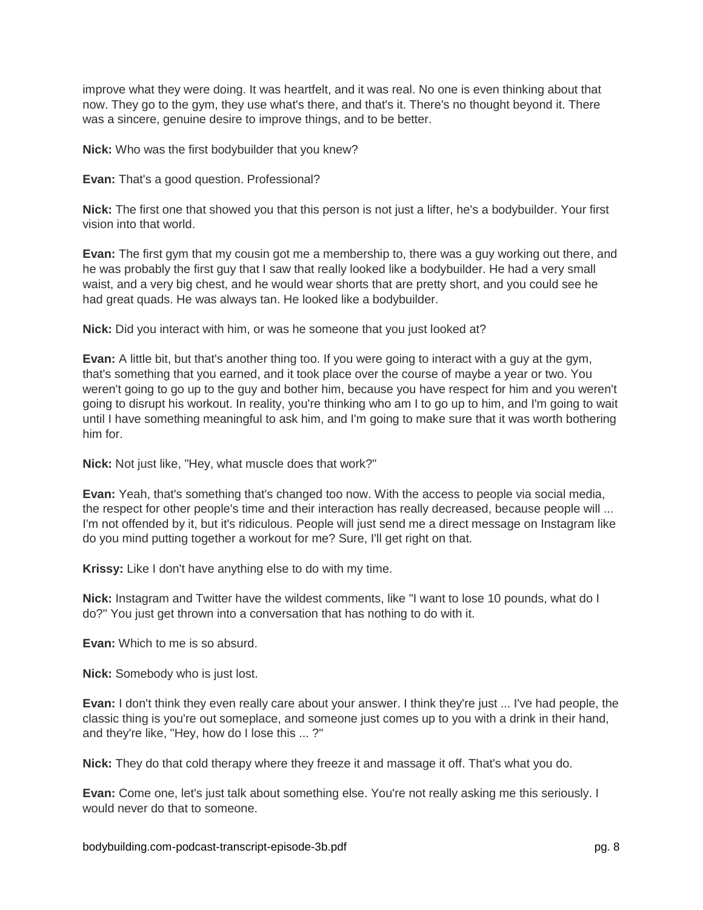improve what they were doing. It was heartfelt, and it was real. No one is even thinking about that now. They go to the gym, they use what's there, and that's it. There's no thought beyond it. There was a sincere, genuine desire to improve things, and to be better.

**Nick:** Who was the first bodybuilder that you knew?

**Evan:** That's a good question. Professional?

**Nick:** The first one that showed you that this person is not just a lifter, he's a bodybuilder. Your first vision into that world.

**Evan:** The first gym that my cousin got me a membership to, there was a guy working out there, and he was probably the first guy that I saw that really looked like a bodybuilder. He had a very small waist, and a very big chest, and he would wear shorts that are pretty short, and you could see he had great quads. He was always tan. He looked like a bodybuilder.

**Nick:** Did you interact with him, or was he someone that you just looked at?

**Evan:** A little bit, but that's another thing too. If you were going to interact with a guy at the gym, that's something that you earned, and it took place over the course of maybe a year or two. You weren't going to go up to the guy and bother him, because you have respect for him and you weren't going to disrupt his workout. In reality, you're thinking who am I to go up to him, and I'm going to wait until I have something meaningful to ask him, and I'm going to make sure that it was worth bothering him for.

**Nick:** Not just like, "Hey, what muscle does that work?"

**Evan:** Yeah, that's something that's changed too now. With the access to people via social media, the respect for other people's time and their interaction has really decreased, because people will ... I'm not offended by it, but it's ridiculous. People will just send me a direct message on Instagram like do you mind putting together a workout for me? Sure, I'll get right on that.

**Krissy:** Like I don't have anything else to do with my time.

**Nick:** Instagram and Twitter have the wildest comments, like "I want to lose 10 pounds, what do I do?" You just get thrown into a conversation that has nothing to do with it.

**Evan:** Which to me is so absurd.

**Nick:** Somebody who is just lost.

**Evan:** I don't think they even really care about your answer. I think they're just ... I've had people, the classic thing is you're out someplace, and someone just comes up to you with a drink in their hand, and they're like, "Hey, how do I lose this ... ?"

**Nick:** They do that cold therapy where they freeze it and massage it off. That's what you do.

**Evan:** Come one, let's just talk about something else. You're not really asking me this seriously. I would never do that to someone.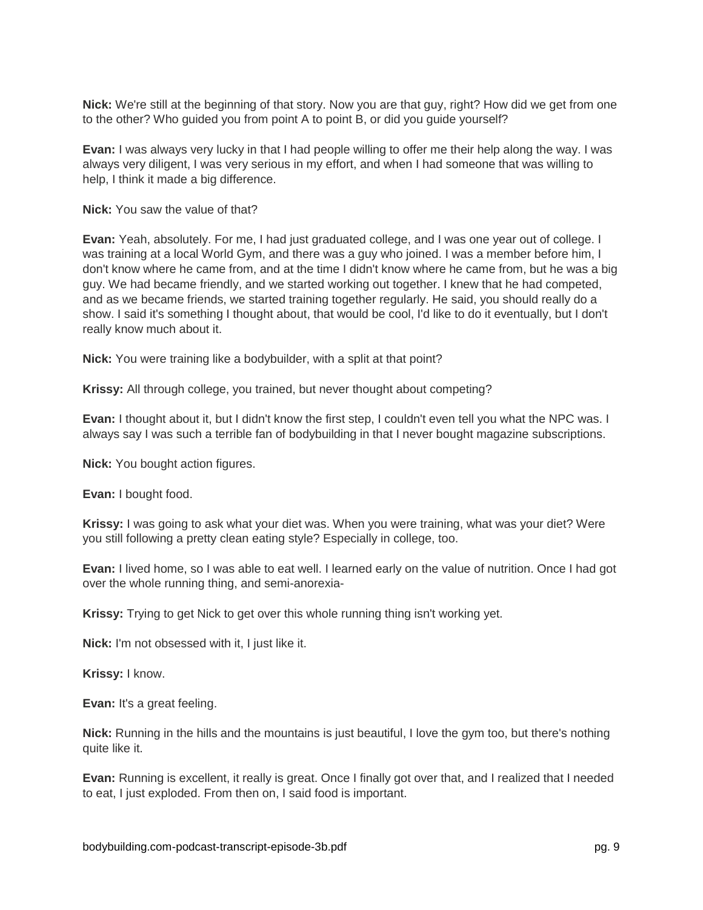**Nick:** We're still at the beginning of that story. Now you are that guy, right? How did we get from one to the other? Who guided you from point A to point B, or did you guide yourself?

**Evan:** I was always very lucky in that I had people willing to offer me their help along the way. I was always very diligent, I was very serious in my effort, and when I had someone that was willing to help, I think it made a big difference.

**Nick:** You saw the value of that?

**Evan:** Yeah, absolutely. For me, I had just graduated college, and I was one year out of college. I was training at a local World Gym, and there was a guy who joined. I was a member before him, I don't know where he came from, and at the time I didn't know where he came from, but he was a big guy. We had became friendly, and we started working out together. I knew that he had competed, and as we became friends, we started training together regularly. He said, you should really do a show. I said it's something I thought about, that would be cool, I'd like to do it eventually, but I don't really know much about it.

**Nick:** You were training like a bodybuilder, with a split at that point?

**Krissy:** All through college, you trained, but never thought about competing?

**Evan:** I thought about it, but I didn't know the first step, I couldn't even tell you what the NPC was. I always say I was such a terrible fan of bodybuilding in that I never bought magazine subscriptions.

**Nick:** You bought action figures.

**Evan:** I bought food.

**Krissy:** I was going to ask what your diet was. When you were training, what was your diet? Were you still following a pretty clean eating style? Especially in college, too.

**Evan:** I lived home, so I was able to eat well. I learned early on the value of nutrition. Once I had got over the whole running thing, and semi-anorexia-

**Krissy:** Trying to get Nick to get over this whole running thing isn't working yet.

**Nick:** I'm not obsessed with it, I just like it.

**Krissy:** I know.

**Evan:** It's a great feeling.

**Nick:** Running in the hills and the mountains is just beautiful, I love the gym too, but there's nothing quite like it.

**Evan:** Running is excellent, it really is great. Once I finally got over that, and I realized that I needed to eat, I just exploded. From then on, I said food is important.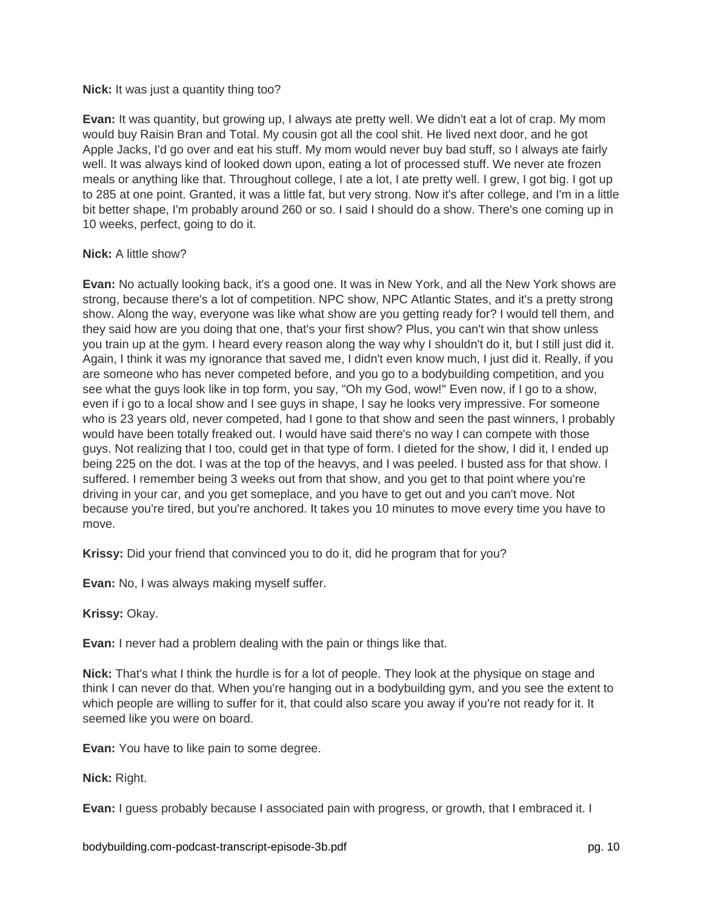#### **Nick:** It was just a quantity thing too?

**Evan:** It was quantity, but growing up, I always ate pretty well. We didn't eat a lot of crap. My mom would buy Raisin Bran and Total. My cousin got all the cool shit. He lived next door, and he got Apple Jacks, I'd go over and eat his stuff. My mom would never buy bad stuff, so I always ate fairly well. It was always kind of looked down upon, eating a lot of processed stuff. We never ate frozen meals or anything like that. Throughout college, I ate a lot, I ate pretty well. I grew, I got big. I got up to 285 at one point. Granted, it was a little fat, but very strong. Now it's after college, and I'm in a little bit better shape, I'm probably around 260 or so. I said I should do a show. There's one coming up in 10 weeks, perfect, going to do it.

#### **Nick:** A little show?

**Evan:** No actually looking back, it's a good one. It was in New York, and all the New York shows are strong, because there's a lot of competition. NPC show, NPC Atlantic States, and it's a pretty strong show. Along the way, everyone was like what show are you getting ready for? I would tell them, and they said how are you doing that one, that's your first show? Plus, you can't win that show unless you train up at the gym. I heard every reason along the way why I shouldn't do it, but I still just did it. Again, I think it was my ignorance that saved me, I didn't even know much, I just did it. Really, if you are someone who has never competed before, and you go to a bodybuilding competition, and you see what the guys look like in top form, you say, "Oh my God, wow!" Even now, if I go to a show, even if i go to a local show and I see guys in shape, I say he looks very impressive. For someone who is 23 years old, never competed, had I gone to that show and seen the past winners, I probably would have been totally freaked out. I would have said there's no way I can compete with those guys. Not realizing that I too, could get in that type of form. I dieted for the show, I did it, I ended up being 225 on the dot. I was at the top of the heavys, and I was peeled. I busted ass for that show. I suffered. I remember being 3 weeks out from that show, and you get to that point where you're driving in your car, and you get someplace, and you have to get out and you can't move. Not because you're tired, but you're anchored. It takes you 10 minutes to move every time you have to move.

**Krissy:** Did your friend that convinced you to do it, did he program that for you?

**Evan:** No, I was always making myself suffer.

**Krissy:** Okay.

**Evan:** I never had a problem dealing with the pain or things like that.

**Nick:** That's what I think the hurdle is for a lot of people. They look at the physique on stage and think I can never do that. When you're hanging out in a bodybuilding gym, and you see the extent to which people are willing to suffer for it, that could also scare you away if you're not ready for it. It seemed like you were on board.

**Evan:** You have to like pain to some degree.

**Nick:** Right.

**Evan:** I guess probably because I associated pain with progress, or growth, that I embraced it. I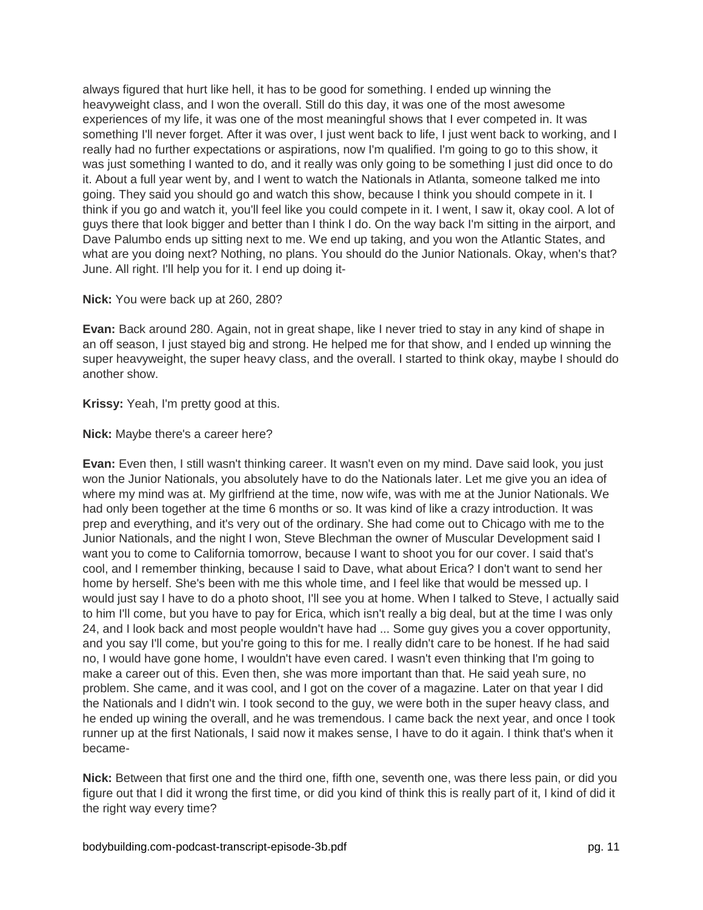always figured that hurt like hell, it has to be good for something. I ended up winning the heavyweight class, and I won the overall. Still do this day, it was one of the most awesome experiences of my life, it was one of the most meaningful shows that I ever competed in. It was something I'll never forget. After it was over, I just went back to life, I just went back to working, and I really had no further expectations or aspirations, now I'm qualified. I'm going to go to this show, it was just something I wanted to do, and it really was only going to be something I just did once to do it. About a full year went by, and I went to watch the Nationals in Atlanta, someone talked me into going. They said you should go and watch this show, because I think you should compete in it. I think if you go and watch it, you'll feel like you could compete in it. I went, I saw it, okay cool. A lot of guys there that look bigger and better than I think I do. On the way back I'm sitting in the airport, and Dave Palumbo ends up sitting next to me. We end up taking, and you won the Atlantic States, and what are you doing next? Nothing, no plans. You should do the Junior Nationals. Okay, when's that? June. All right. I'll help you for it. I end up doing it-

**Nick:** You were back up at 260, 280?

**Evan:** Back around 280. Again, not in great shape, like I never tried to stay in any kind of shape in an off season, I just stayed big and strong. He helped me for that show, and I ended up winning the super heavyweight, the super heavy class, and the overall. I started to think okay, maybe I should do another show.

**Krissy:** Yeah, I'm pretty good at this.

**Nick:** Maybe there's a career here?

**Evan:** Even then, I still wasn't thinking career. It wasn't even on my mind. Dave said look, you just won the Junior Nationals, you absolutely have to do the Nationals later. Let me give you an idea of where my mind was at. My girlfriend at the time, now wife, was with me at the Junior Nationals. We had only been together at the time 6 months or so. It was kind of like a crazy introduction. It was prep and everything, and it's very out of the ordinary. She had come out to Chicago with me to the Junior Nationals, and the night I won, Steve Blechman the owner of Muscular Development said I want you to come to California tomorrow, because I want to shoot you for our cover. I said that's cool, and I remember thinking, because I said to Dave, what about Erica? I don't want to send her home by herself. She's been with me this whole time, and I feel like that would be messed up. I would just say I have to do a photo shoot, I'll see you at home. When I talked to Steve, I actually said to him I'll come, but you have to pay for Erica, which isn't really a big deal, but at the time I was only 24, and I look back and most people wouldn't have had ... Some guy gives you a cover opportunity, and you say I'll come, but you're going to this for me. I really didn't care to be honest. If he had said no, I would have gone home, I wouldn't have even cared. I wasn't even thinking that I'm going to make a career out of this. Even then, she was more important than that. He said yeah sure, no problem. She came, and it was cool, and I got on the cover of a magazine. Later on that year I did the Nationals and I didn't win. I took second to the guy, we were both in the super heavy class, and he ended up wining the overall, and he was tremendous. I came back the next year, and once I took runner up at the first Nationals, I said now it makes sense, I have to do it again. I think that's when it became-

**Nick:** Between that first one and the third one, fifth one, seventh one, was there less pain, or did you figure out that I did it wrong the first time, or did you kind of think this is really part of it, I kind of did it the right way every time?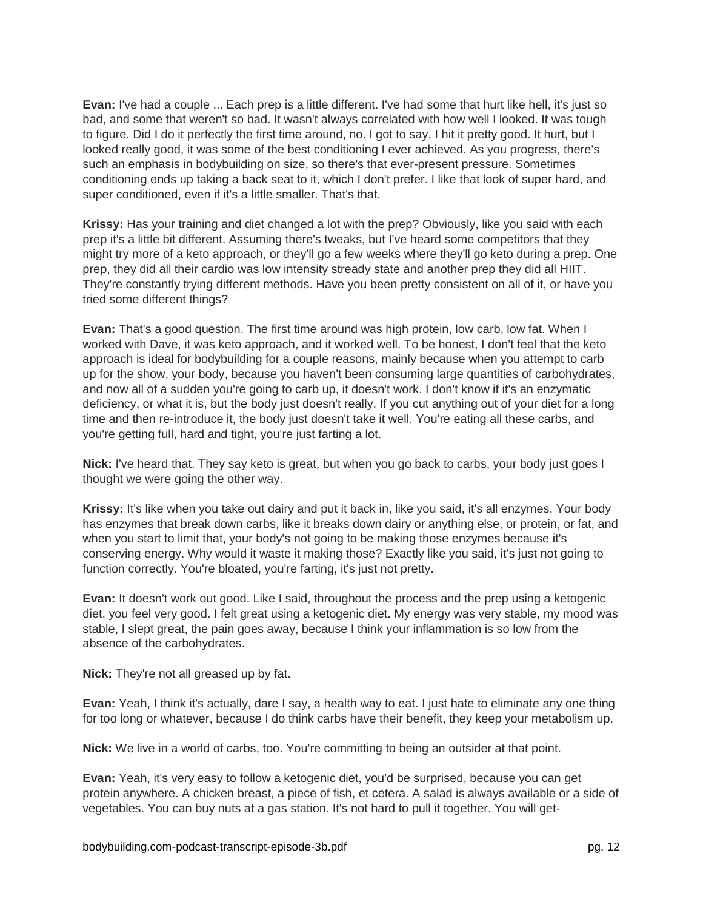**Evan:** I've had a couple ... Each prep is a little different. I've had some that hurt like hell, it's just so bad, and some that weren't so bad. It wasn't always correlated with how well I looked. It was tough to figure. Did I do it perfectly the first time around, no. I got to say, I hit it pretty good. It hurt, but I looked really good, it was some of the best conditioning I ever achieved. As you progress, there's such an emphasis in bodybuilding on size, so there's that ever-present pressure. Sometimes conditioning ends up taking a back seat to it, which I don't prefer. I like that look of super hard, and super conditioned, even if it's a little smaller. That's that.

**Krissy:** Has your training and diet changed a lot with the prep? Obviously, like you said with each prep it's a little bit different. Assuming there's tweaks, but I've heard some competitors that they might try more of a keto approach, or they'll go a few weeks where they'll go keto during a prep. One prep, they did all their cardio was low intensity stready state and another prep they did all HIIT. They're constantly trying different methods. Have you been pretty consistent on all of it, or have you tried some different things?

**Evan:** That's a good question. The first time around was high protein, low carb, low fat. When I worked with Dave, it was keto approach, and it worked well. To be honest, I don't feel that the keto approach is ideal for bodybuilding for a couple reasons, mainly because when you attempt to carb up for the show, your body, because you haven't been consuming large quantities of carbohydrates, and now all of a sudden you're going to carb up, it doesn't work. I don't know if it's an enzymatic deficiency, or what it is, but the body just doesn't really. If you cut anything out of your diet for a long time and then re-introduce it, the body just doesn't take it well. You're eating all these carbs, and you're getting full, hard and tight, you're just farting a lot.

**Nick:** I've heard that. They say keto is great, but when you go back to carbs, your body just goes I thought we were going the other way.

**Krissy:** It's like when you take out dairy and put it back in, like you said, it's all enzymes. Your body has enzymes that break down carbs, like it breaks down dairy or anything else, or protein, or fat, and when you start to limit that, your body's not going to be making those enzymes because it's conserving energy. Why would it waste it making those? Exactly like you said, it's just not going to function correctly. You're bloated, you're farting, it's just not pretty.

**Evan:** It doesn't work out good. Like I said, throughout the process and the prep using a ketogenic diet, you feel very good. I felt great using a ketogenic diet. My energy was very stable, my mood was stable, I slept great, the pain goes away, because I think your inflammation is so low from the absence of the carbohydrates.

**Nick:** They're not all greased up by fat.

**Evan:** Yeah, I think it's actually, dare I say, a health way to eat. I just hate to eliminate any one thing for too long or whatever, because I do think carbs have their benefit, they keep your metabolism up.

**Nick:** We live in a world of carbs, too. You're committing to being an outsider at that point.

**Evan:** Yeah, it's very easy to follow a ketogenic diet, you'd be surprised, because you can get protein anywhere. A chicken breast, a piece of fish, et cetera. A salad is always available or a side of vegetables. You can buy nuts at a gas station. It's not hard to pull it together. You will get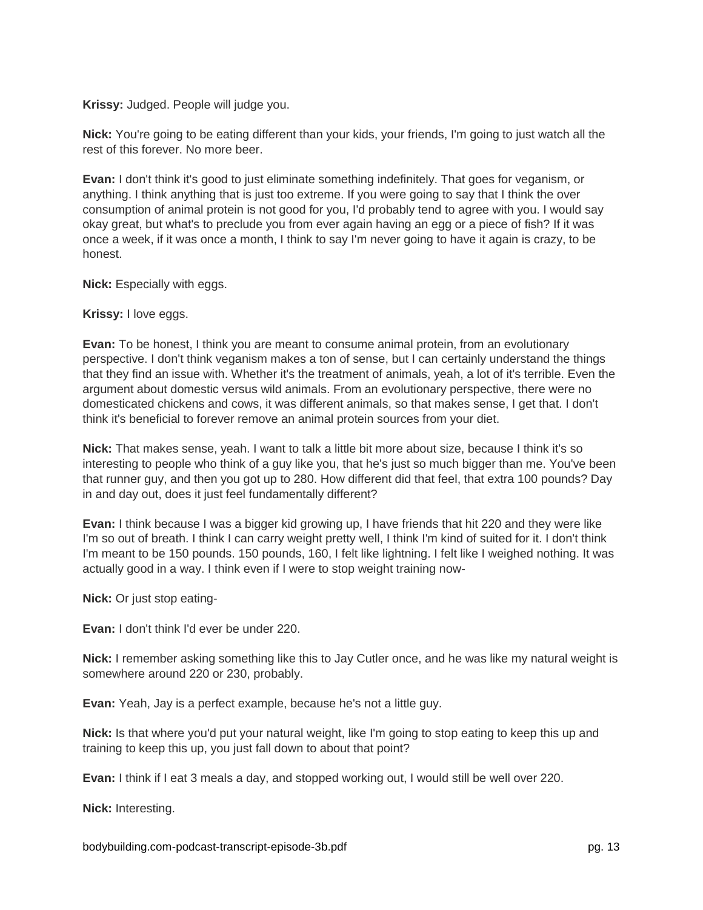**Krissy:** Judged. People will judge you.

**Nick:** You're going to be eating different than your kids, your friends, I'm going to just watch all the rest of this forever. No more beer.

**Evan:** I don't think it's good to just eliminate something indefinitely. That goes for veganism, or anything. I think anything that is just too extreme. If you were going to say that I think the over consumption of animal protein is not good for you, I'd probably tend to agree with you. I would say okay great, but what's to preclude you from ever again having an egg or a piece of fish? If it was once a week, if it was once a month, I think to say I'm never going to have it again is crazy, to be honest.

**Nick:** Especially with eggs.

**Krissy:** I love eggs.

**Evan:** To be honest, I think you are meant to consume animal protein, from an evolutionary perspective. I don't think veganism makes a ton of sense, but I can certainly understand the things that they find an issue with. Whether it's the treatment of animals, yeah, a lot of it's terrible. Even the argument about domestic versus wild animals. From an evolutionary perspective, there were no domesticated chickens and cows, it was different animals, so that makes sense, I get that. I don't think it's beneficial to forever remove an animal protein sources from your diet.

**Nick:** That makes sense, yeah. I want to talk a little bit more about size, because I think it's so interesting to people who think of a guy like you, that he's just so much bigger than me. You've been that runner guy, and then you got up to 280. How different did that feel, that extra 100 pounds? Day in and day out, does it just feel fundamentally different?

**Evan:** I think because I was a bigger kid growing up, I have friends that hit 220 and they were like I'm so out of breath. I think I can carry weight pretty well, I think I'm kind of suited for it. I don't think I'm meant to be 150 pounds. 150 pounds, 160, I felt like lightning. I felt like I weighed nothing. It was actually good in a way. I think even if I were to stop weight training now-

**Nick:** Or just stop eating-

**Evan:** I don't think I'd ever be under 220.

**Nick:** I remember asking something like this to Jay Cutler once, and he was like my natural weight is somewhere around 220 or 230, probably.

**Evan:** Yeah, Jay is a perfect example, because he's not a little guy.

**Nick:** Is that where you'd put your natural weight, like I'm going to stop eating to keep this up and training to keep this up, you just fall down to about that point?

**Evan:** I think if I eat 3 meals a day, and stopped working out, I would still be well over 220.

**Nick:** Interesting.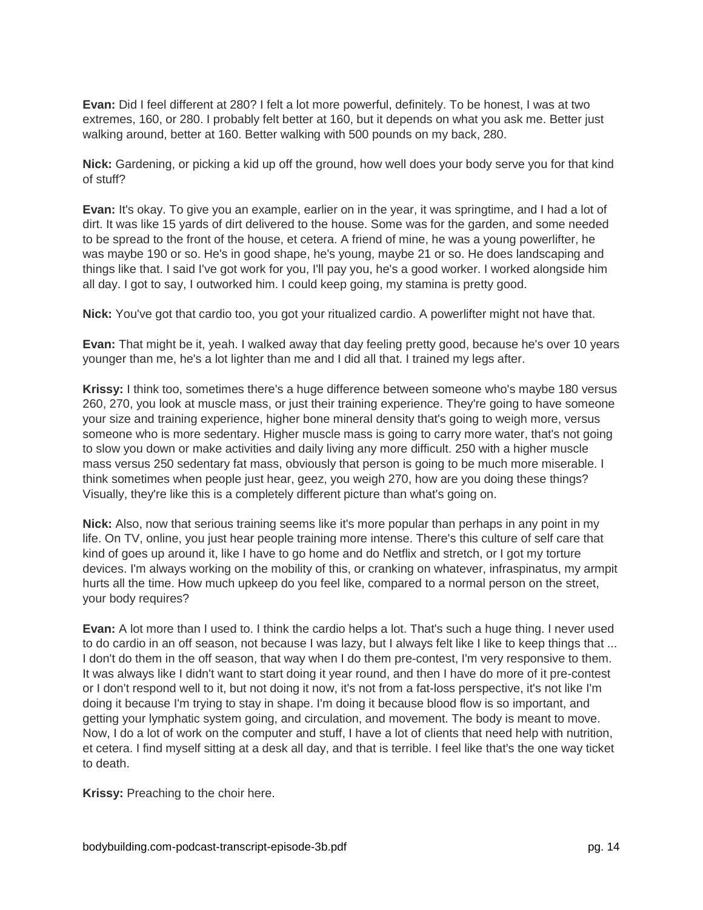**Evan:** Did I feel different at 280? I felt a lot more powerful, definitely. To be honest, I was at two extremes, 160, or 280. I probably felt better at 160, but it depends on what you ask me. Better just walking around, better at 160. Better walking with 500 pounds on my back, 280.

**Nick:** Gardening, or picking a kid up off the ground, how well does your body serve you for that kind of stuff?

**Evan:** It's okay. To give you an example, earlier on in the year, it was springtime, and I had a lot of dirt. It was like 15 yards of dirt delivered to the house. Some was for the garden, and some needed to be spread to the front of the house, et cetera. A friend of mine, he was a young powerlifter, he was maybe 190 or so. He's in good shape, he's young, maybe 21 or so. He does landscaping and things like that. I said I've got work for you, I'll pay you, he's a good worker. I worked alongside him all day. I got to say, I outworked him. I could keep going, my stamina is pretty good.

**Nick:** You've got that cardio too, you got your ritualized cardio. A powerlifter might not have that.

**Evan:** That might be it, yeah. I walked away that day feeling pretty good, because he's over 10 years younger than me, he's a lot lighter than me and I did all that. I trained my legs after.

**Krissy:** I think too, sometimes there's a huge difference between someone who's maybe 180 versus 260, 270, you look at muscle mass, or just their training experience. They're going to have someone your size and training experience, higher bone mineral density that's going to weigh more, versus someone who is more sedentary. Higher muscle mass is going to carry more water, that's not going to slow you down or make activities and daily living any more difficult. 250 with a higher muscle mass versus 250 sedentary fat mass, obviously that person is going to be much more miserable. I think sometimes when people just hear, geez, you weigh 270, how are you doing these things? Visually, they're like this is a completely different picture than what's going on.

**Nick:** Also, now that serious training seems like it's more popular than perhaps in any point in my life. On TV, online, you just hear people training more intense. There's this culture of self care that kind of goes up around it, like I have to go home and do Netflix and stretch, or I got my torture devices. I'm always working on the mobility of this, or cranking on whatever, infraspinatus, my armpit hurts all the time. How much upkeep do you feel like, compared to a normal person on the street, your body requires?

**Evan:** A lot more than I used to. I think the cardio helps a lot. That's such a huge thing. I never used to do cardio in an off season, not because I was lazy, but I always felt like I like to keep things that ... I don't do them in the off season, that way when I do them pre-contest, I'm very responsive to them. It was always like I didn't want to start doing it year round, and then I have do more of it pre-contest or I don't respond well to it, but not doing it now, it's not from a fat-loss perspective, it's not like I'm doing it because I'm trying to stay in shape. I'm doing it because blood flow is so important, and getting your lymphatic system going, and circulation, and movement. The body is meant to move. Now, I do a lot of work on the computer and stuff, I have a lot of clients that need help with nutrition, et cetera. I find myself sitting at a desk all day, and that is terrible. I feel like that's the one way ticket to death.

**Krissy:** Preaching to the choir here.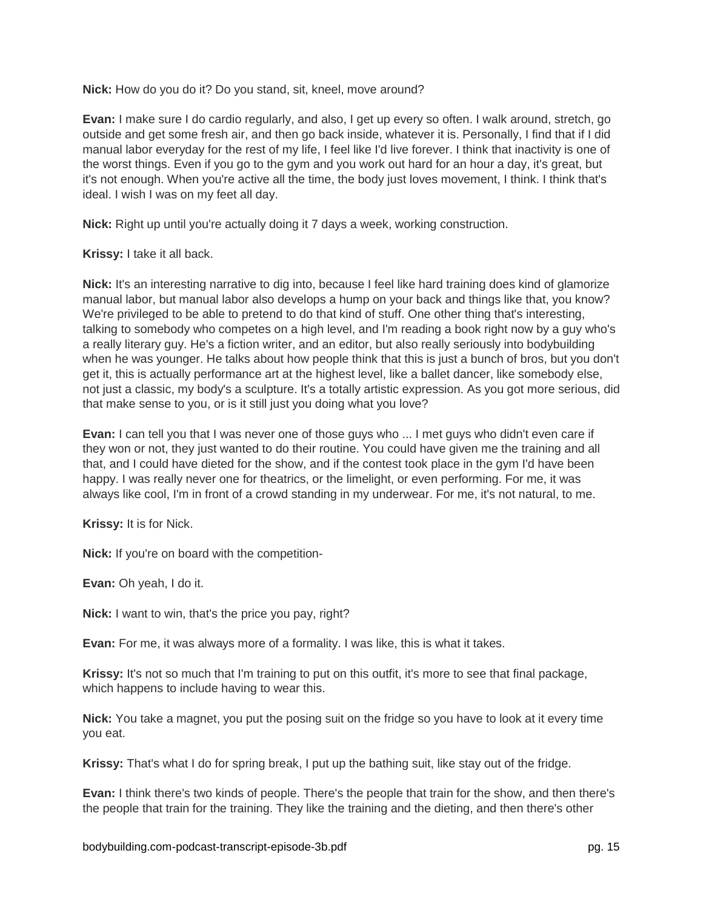**Nick:** How do you do it? Do you stand, sit, kneel, move around?

**Evan:** I make sure I do cardio regularly, and also, I get up every so often. I walk around, stretch, go outside and get some fresh air, and then go back inside, whatever it is. Personally, I find that if I did manual labor everyday for the rest of my life, I feel like I'd live forever. I think that inactivity is one of the worst things. Even if you go to the gym and you work out hard for an hour a day, it's great, but it's not enough. When you're active all the time, the body just loves movement, I think. I think that's ideal. I wish I was on my feet all day.

**Nick:** Right up until you're actually doing it 7 days a week, working construction.

**Krissy:** I take it all back.

**Nick:** It's an interesting narrative to dig into, because I feel like hard training does kind of glamorize manual labor, but manual labor also develops a hump on your back and things like that, you know? We're privileged to be able to pretend to do that kind of stuff. One other thing that's interesting, talking to somebody who competes on a high level, and I'm reading a book right now by a guy who's a really literary guy. He's a fiction writer, and an editor, but also really seriously into bodybuilding when he was younger. He talks about how people think that this is just a bunch of bros, but you don't get it, this is actually performance art at the highest level, like a ballet dancer, like somebody else, not just a classic, my body's a sculpture. It's a totally artistic expression. As you got more serious, did that make sense to you, or is it still just you doing what you love?

**Evan:** I can tell you that I was never one of those guys who ... I met guys who didn't even care if they won or not, they just wanted to do their routine. You could have given me the training and all that, and I could have dieted for the show, and if the contest took place in the gym I'd have been happy. I was really never one for theatrics, or the limelight, or even performing. For me, it was always like cool, I'm in front of a crowd standing in my underwear. For me, it's not natural, to me.

**Krissy:** It is for Nick.

**Nick:** If you're on board with the competition-

**Evan:** Oh yeah, I do it.

**Nick:** I want to win, that's the price you pay, right?

**Evan:** For me, it was always more of a formality. I was like, this is what it takes.

**Krissy:** It's not so much that I'm training to put on this outfit, it's more to see that final package, which happens to include having to wear this.

**Nick:** You take a magnet, you put the posing suit on the fridge so you have to look at it every time you eat.

**Krissy:** That's what I do for spring break, I put up the bathing suit, like stay out of the fridge.

**Evan:** I think there's two kinds of people. There's the people that train for the show, and then there's the people that train for the training. They like the training and the dieting, and then there's other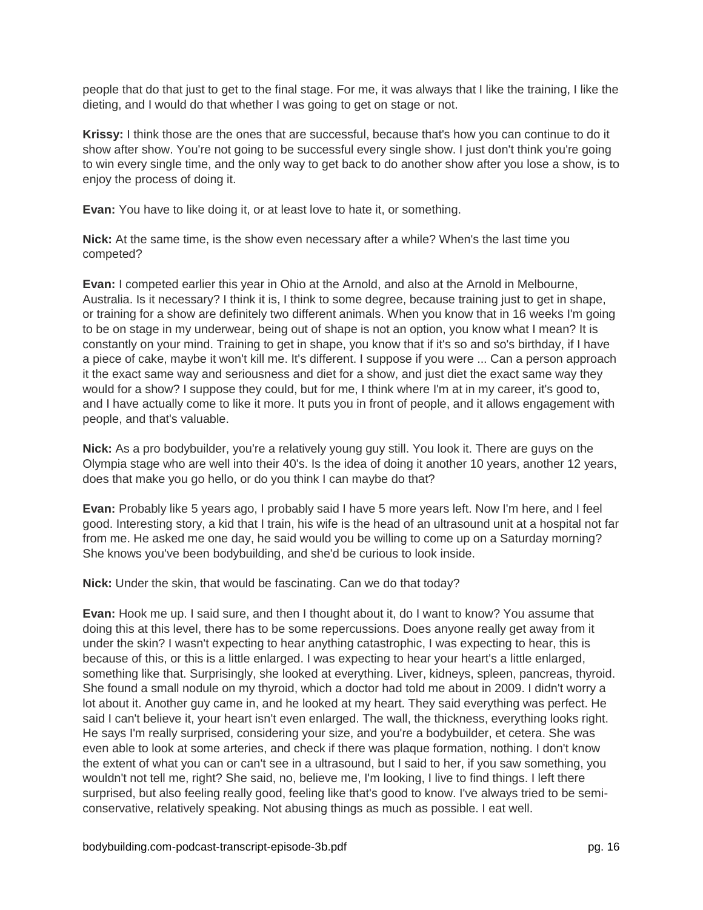people that do that just to get to the final stage. For me, it was always that I like the training, I like the dieting, and I would do that whether I was going to get on stage or not.

**Krissy:** I think those are the ones that are successful, because that's how you can continue to do it show after show. You're not going to be successful every single show. I just don't think you're going to win every single time, and the only way to get back to do another show after you lose a show, is to enjoy the process of doing it.

**Evan:** You have to like doing it, or at least love to hate it, or something.

**Nick:** At the same time, is the show even necessary after a while? When's the last time you competed?

**Evan:** I competed earlier this year in Ohio at the Arnold, and also at the Arnold in Melbourne, Australia. Is it necessary? I think it is, I think to some degree, because training just to get in shape, or training for a show are definitely two different animals. When you know that in 16 weeks I'm going to be on stage in my underwear, being out of shape is not an option, you know what I mean? It is constantly on your mind. Training to get in shape, you know that if it's so and so's birthday, if I have a piece of cake, maybe it won't kill me. It's different. I suppose if you were ... Can a person approach it the exact same way and seriousness and diet for a show, and just diet the exact same way they would for a show? I suppose they could, but for me, I think where I'm at in my career, it's good to, and I have actually come to like it more. It puts you in front of people, and it allows engagement with people, and that's valuable.

**Nick:** As a pro bodybuilder, you're a relatively young guy still. You look it. There are guys on the Olympia stage who are well into their 40's. Is the idea of doing it another 10 years, another 12 years, does that make you go hello, or do you think I can maybe do that?

**Evan:** Probably like 5 years ago, I probably said I have 5 more years left. Now I'm here, and I feel good. Interesting story, a kid that I train, his wife is the head of an ultrasound unit at a hospital not far from me. He asked me one day, he said would you be willing to come up on a Saturday morning? She knows you've been bodybuilding, and she'd be curious to look inside.

**Nick:** Under the skin, that would be fascinating. Can we do that today?

**Evan:** Hook me up. I said sure, and then I thought about it, do I want to know? You assume that doing this at this level, there has to be some repercussions. Does anyone really get away from it under the skin? I wasn't expecting to hear anything catastrophic, I was expecting to hear, this is because of this, or this is a little enlarged. I was expecting to hear your heart's a little enlarged, something like that. Surprisingly, she looked at everything. Liver, kidneys, spleen, pancreas, thyroid. She found a small nodule on my thyroid, which a doctor had told me about in 2009. I didn't worry a lot about it. Another guy came in, and he looked at my heart. They said everything was perfect. He said I can't believe it, your heart isn't even enlarged. The wall, the thickness, everything looks right. He says I'm really surprised, considering your size, and you're a bodybuilder, et cetera. She was even able to look at some arteries, and check if there was plaque formation, nothing. I don't know the extent of what you can or can't see in a ultrasound, but I said to her, if you saw something, you wouldn't not tell me, right? She said, no, believe me, I'm looking, I live to find things. I left there surprised, but also feeling really good, feeling like that's good to know. I've always tried to be semiconservative, relatively speaking. Not abusing things as much as possible. I eat well.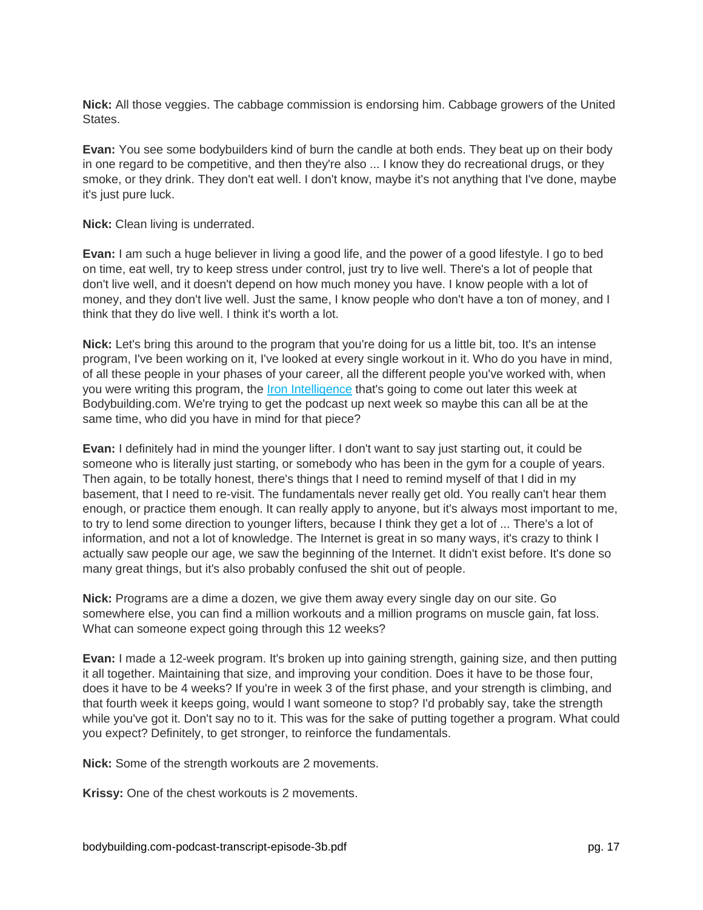**Nick:** All those veggies. The cabbage commission is endorsing him. Cabbage growers of the United States.

**Evan:** You see some bodybuilders kind of burn the candle at both ends. They beat up on their body in one regard to be competitive, and then they're also ... I know they do recreational drugs, or they smoke, or they drink. They don't eat well. I don't know, maybe it's not anything that I've done, maybe it's just pure luck.

**Nick:** Clean living is underrated.

**Evan:** I am such a huge believer in living a good life, and the power of a good lifestyle. I go to bed on time, eat well, try to keep stress under control, just try to live well. There's a lot of people that don't live well, and it doesn't depend on how much money you have. I know people with a lot of money, and they don't live well. Just the same, I know people who don't have a ton of money, and I think that they do live well. I think it's worth a lot.

**Nick:** Let's bring this around to the program that you're doing for us a little bit, too. It's an intense program, I've been working on it, I've looked at every single workout in it. Who do you have in mind, of all these people in your phases of your career, all the different people you've worked with, when you were writing this program, the [Iron Intelligence](http://www.bodybuilding.com/ironintelligence) that's going to come out later this week at Bodybuilding.com. We're trying to get the podcast up next week so maybe this can all be at the same time, who did you have in mind for that piece?

**Evan:** I definitely had in mind the younger lifter. I don't want to say just starting out, it could be someone who is literally just starting, or somebody who has been in the gym for a couple of years. Then again, to be totally honest, there's things that I need to remind myself of that I did in my basement, that I need to re-visit. The fundamentals never really get old. You really can't hear them enough, or practice them enough. It can really apply to anyone, but it's always most important to me, to try to lend some direction to younger lifters, because I think they get a lot of ... There's a lot of information, and not a lot of knowledge. The Internet is great in so many ways, it's crazy to think I actually saw people our age, we saw the beginning of the Internet. It didn't exist before. It's done so many great things, but it's also probably confused the shit out of people.

**Nick:** Programs are a dime a dozen, we give them away every single day on our site. Go somewhere else, you can find a million workouts and a million programs on muscle gain, fat loss. What can someone expect going through this 12 weeks?

**Evan:** I made a 12-week program. It's broken up into gaining strength, gaining size, and then putting it all together. Maintaining that size, and improving your condition. Does it have to be those four, does it have to be 4 weeks? If you're in week 3 of the first phase, and your strength is climbing, and that fourth week it keeps going, would I want someone to stop? I'd probably say, take the strength while you've got it. Don't say no to it. This was for the sake of putting together a program. What could you expect? Definitely, to get stronger, to reinforce the fundamentals.

**Nick:** Some of the strength workouts are 2 movements.

**Krissy:** One of the chest workouts is 2 movements.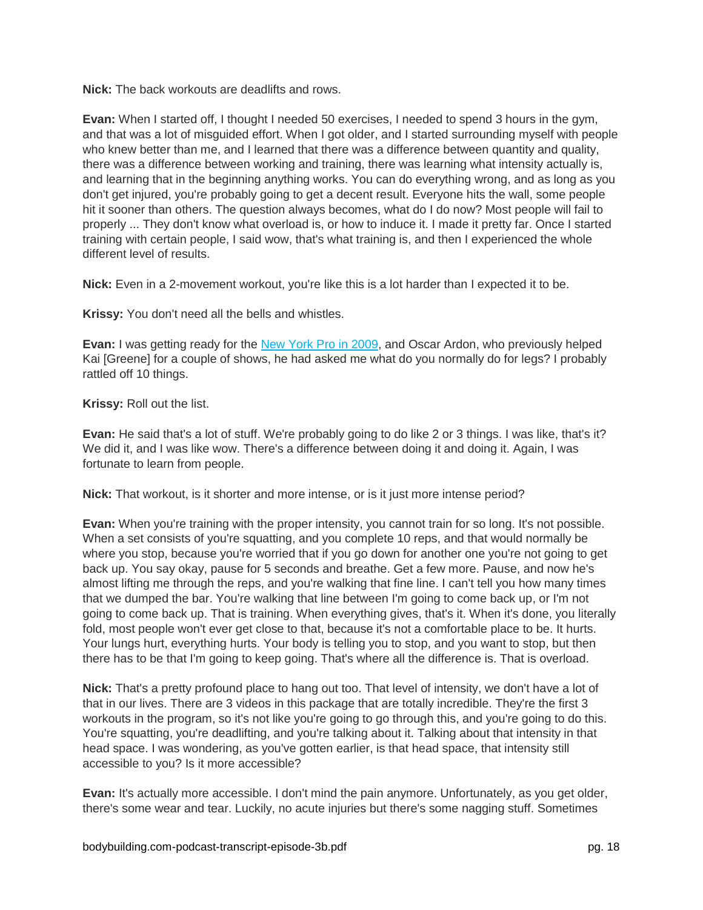**Nick:** The back workouts are deadlifts and rows.

**Evan:** When I started off, I thought I needed 50 exercises, I needed to spend 3 hours in the gym, and that was a lot of misguided effort. When I got older, and I started surrounding myself with people who knew better than me, and I learned that there was a difference between quantity and quality, there was a difference between working and training, there was learning what intensity actually is, and learning that in the beginning anything works. You can do everything wrong, and as long as you don't get injured, you're probably going to get a decent result. Everyone hits the wall, some people hit it sooner than others. The question always becomes, what do I do now? Most people will fail to properly ... They don't know what overload is, or how to induce it. I made it pretty far. Once I started training with certain people, I said wow, that's what training is, and then I experienced the whole different level of results.

**Nick:** Even in a 2-movement workout, you're like this is a lot harder than I expected it to be.

**Krissy:** You don't need all the bells and whistles.

**Evan:** I was getting ready for the [New York Pro in 2009,](http://contest.bodybuilding.com/gallery/contest/7942/contestant/25162/mode/jim/) and Oscar Ardon, who previously helped Kai [Greene] for a couple of shows, he had asked me what do you normally do for legs? I probably rattled off 10 things.

**Krissy:** Roll out the list.

**Evan:** He said that's a lot of stuff. We're probably going to do like 2 or 3 things. I was like, that's it? We did it, and I was like wow. There's a difference between doing it and doing it. Again, I was fortunate to learn from people.

**Nick:** That workout, is it shorter and more intense, or is it just more intense period?

**Evan:** When you're training with the proper intensity, you cannot train for so long. It's not possible. When a set consists of you're squatting, and you complete 10 reps, and that would normally be where you stop, because you're worried that if you go down for another one you're not going to get back up. You say okay, pause for 5 seconds and breathe. Get a few more. Pause, and now he's almost lifting me through the reps, and you're walking that fine line. I can't tell you how many times that we dumped the bar. You're walking that line between I'm going to come back up, or I'm not going to come back up. That is training. When everything gives, that's it. When it's done, you literally fold, most people won't ever get close to that, because it's not a comfortable place to be. It hurts. Your lungs hurt, everything hurts. Your body is telling you to stop, and you want to stop, but then there has to be that I'm going to keep going. That's where all the difference is. That is overload.

**Nick:** That's a pretty profound place to hang out too. That level of intensity, we don't have a lot of that in our lives. There are 3 videos in this package that are totally incredible. They're the first 3 workouts in the program, so it's not like you're going to go through this, and you're going to do this. You're squatting, you're deadlifting, and you're talking about it. Talking about that intensity in that head space. I was wondering, as you've gotten earlier, is that head space, that intensity still accessible to you? Is it more accessible?

**Evan:** It's actually more accessible. I don't mind the pain anymore. Unfortunately, as you get older, there's some wear and tear. Luckily, no acute injuries but there's some nagging stuff. Sometimes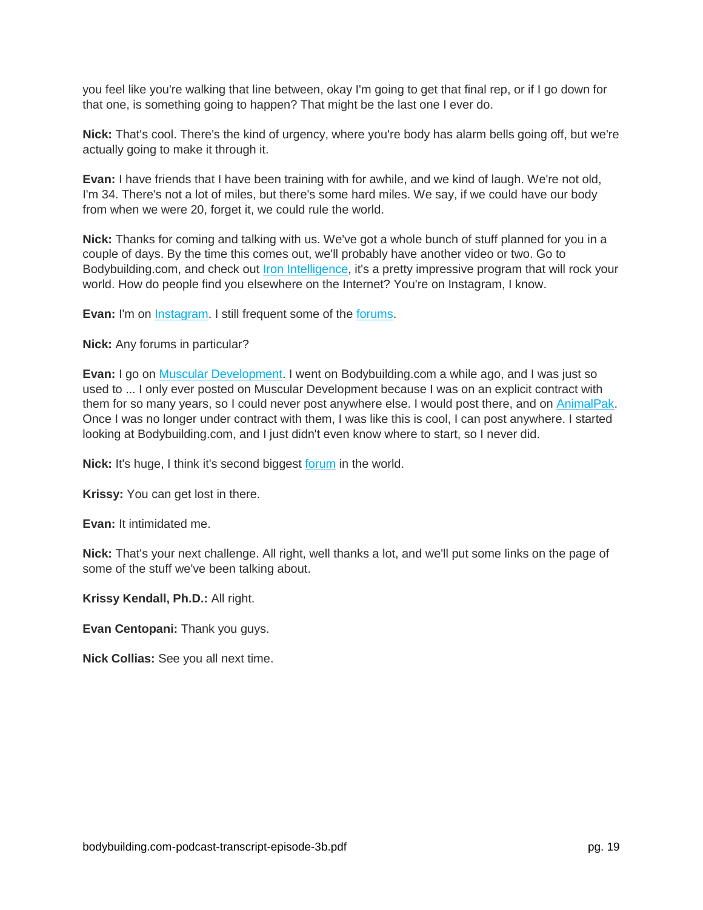you feel like you're walking that line between, okay I'm going to get that final rep, or if I go down for that one, is something going to happen? That might be the last one I ever do.

**Nick:** That's cool. There's the kind of urgency, where you're body has alarm bells going off, but we're actually going to make it through it.

**Evan:** I have friends that I have been training with for awhile, and we kind of laugh. We're not old, I'm 34. There's not a lot of miles, but there's some hard miles. We say, if we could have our body from when we were 20, forget it, we could rule the world.

**Nick:** Thanks for coming and talking with us. We've got a whole bunch of stuff planned for you in a couple of days. By the time this comes out, we'll probably have another video or two. Go to Bodybuilding.com, and check out [Iron Intelligence,](http://www.bodybuilding.com/fun/iron-intelligence-12-week-muscle-building-plan-main.html) it's a pretty impressive program that will rock your world. How do people find you elsewhere on the Internet? You're on Instagram, I know.

**Evan:** I'm on [Instagram.](https://www.instagram.com/evancentopani/) I still frequent some of the [forums.](http://forum.bodybuilding.com/showthread.php?t=172838441)

**Nick:** Any forums in particular?

**Evan:** I go on [Muscular Development.](http://forums.musculardevelopment.com/showthread.php/159242-Iron-Intelligence-Evan-Centopani-12-week-trainer) I went on Bodybuilding.com a while ago, and I was just so used to ... I only ever posted on Muscular Development because I was on an explicit contract with them for so many years, so I could never post anywhere else. I would post there, and on [AnimalPak.](http://forum.animalpak.com/showthread.php?44675-IRON-INTELLIGENCE-Centopani-s-12-Week-Muscle-Building-Program) Once I was no longer under contract with them, I was like this is cool, I can post anywhere. I started looking at Bodybuilding.com, and I just didn't even know where to start, so I never did.

**Nick:** It's huge, I think it's second biggest [forum](http://forum.bodybuilding.com/showthread.php?t=172838441) in the world.

**Krissy:** You can get lost in there.

**Evan:** It intimidated me.

**Nick:** That's your next challenge. All right, well thanks a lot, and we'll put some links on the page of some of the stuff we've been talking about.

**Krissy Kendall, Ph.D.:** All right.

**Evan Centopani:** Thank you guys.

**Nick Collias:** See you all next time.